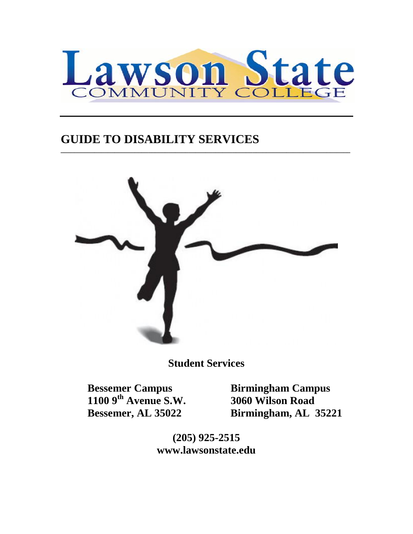

**\_\_\_\_\_\_\_\_\_\_\_\_\_\_\_\_\_\_\_\_\_\_\_\_\_\_\_\_\_\_\_\_\_\_\_\_\_\_\_\_\_\_\_\_\_\_\_\_\_\_\_\_\_\_\_\_\_\_\_\_\_\_\_\_\_\_\_\_\_\_\_\_\_\_\_\_\_\_\_\_\_\_\_\_\_\_**

# **GUIDE TO DISABILITY SERVICES**



**Student Services**

 **1100 9th Avenue S.W. 3060 Wilson Road**

 **Bessemer Campus Birmingham Campus Bessemer, AL 35022 Birmingham, AL 35221**

> **(205) 925-2515 www.lawsonstate.edu**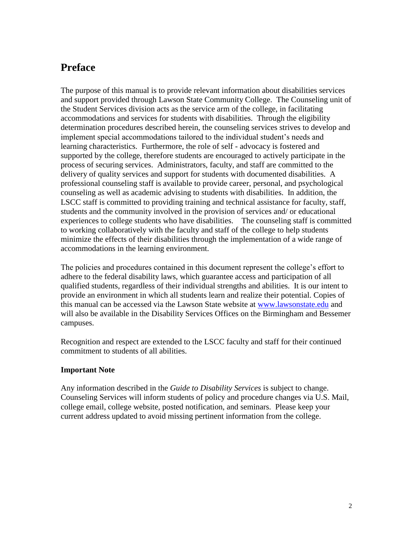## **Preface**

The purpose of this manual is to provide relevant information about disabilities services and support provided through Lawson State Community College. The Counseling unit of the Student Services division acts as the service arm of the college, in facilitating accommodations and services for students with disabilities. Through the eligibility determination procedures described herein, the counseling services strives to develop and implement special accommodations tailored to the individual student's needs and learning characteristics. Furthermore, the role of self - advocacy is fostered and supported by the college, therefore students are encouraged to actively participate in the process of securing services. Administrators, faculty, and staff are committed to the delivery of quality services and support for students with documented disabilities. A professional counseling staff is available to provide career, personal, and psychological counseling as well as academic advising to students with disabilities. In addition, the LSCC staff is committed to providing training and technical assistance for faculty, staff, students and the community involved in the provision of services and/ or educational experiences to college students who have disabilities. The counseling staff is committed to working collaboratively with the faculty and staff of the college to help students minimize the effects of their disabilities through the implementation of a wide range of accommodations in the learning environment.

The policies and procedures contained in this document represent the college's effort to adhere to the federal disability laws, which guarantee access and participation of all qualified students, regardless of their individual strengths and abilities. It is our intent to provide an environment in which all students learn and realize their potential. Copies of this manual can be accessed via the Lawson State website at [www.lawsonstate.edu](http://www.lawsonstate.edu/) and will also be available in the Disability Services Offices on the Birmingham and Bessemer campuses.

Recognition and respect are extended to the LSCC faculty and staff for their continued commitment to students of all abilities.

#### **Important Note**

Any information described in the *Guide to Disability Services* is subject to change. Counseling Services will inform students of policy and procedure changes via U.S. Mail, college email, college website, posted notification, and seminars. Please keep your current address updated to avoid missing pertinent information from the college.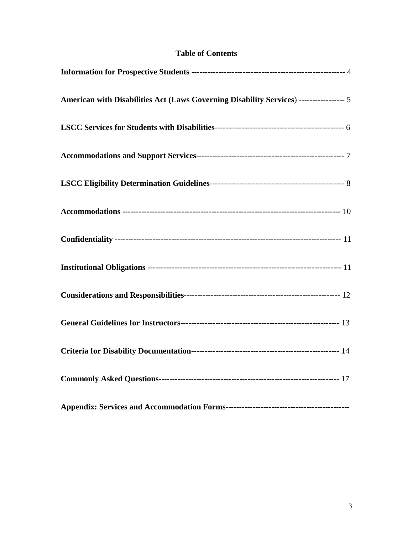|  | <b>Table of Contents</b> |
|--|--------------------------|
|--|--------------------------|

| American with Disabilities Act (Laws Governing Disability Services) ----------------- 5 |  |
|-----------------------------------------------------------------------------------------|--|
|                                                                                         |  |
|                                                                                         |  |
|                                                                                         |  |
|                                                                                         |  |
|                                                                                         |  |
|                                                                                         |  |
|                                                                                         |  |
|                                                                                         |  |
|                                                                                         |  |
|                                                                                         |  |
|                                                                                         |  |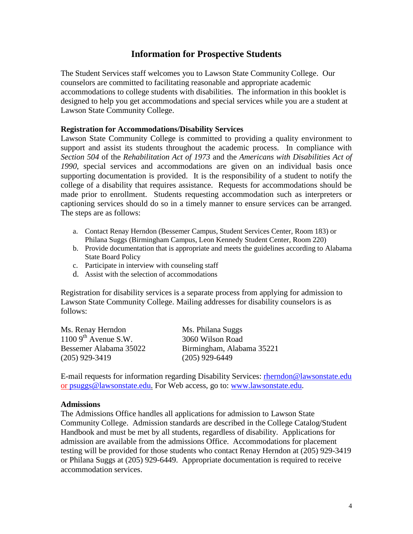## **Information for Prospective Students**

The Student Services staff welcomes you to Lawson State Community College. Our counselors are committed to facilitating reasonable and appropriate academic accommodations to college students with disabilities. The information in this booklet is designed to help you get accommodations and special services while you are a student at Lawson State Community College.

#### **Registration for Accommodations/Disability Services**

Lawson State Community College is committed to providing a quality environment to support and assist its students throughout the academic process. In compliance with *Section 504* of the *Rehabilitation Act of 1973* and the *Americans with Disabilities Act of 1990*, special services and accommodations are given on an individual basis once supporting documentation is provided. It is the responsibility of a student to notify the college of a disability that requires assistance. Requests for accommodations should be made prior to enrollment. Students requesting accommodation such as interpreters or captioning services should do so in a timely manner to ensure services can be arranged. The steps are as follows:

- a. Contact Renay Herndon (Bessemer Campus, Student Services Center, Room 183) or Philana Suggs (Birmingham Campus, Leon Kennedy Student Center, Room 220)
- b. Provide documentation that is appropriate and meets the guidelines according to Alabama State Board Policy
- c. Participate in interview with counseling staff
- d. Assist with the selection of accommodations

Registration for disability services is a separate process from applying for admission to Lawson State Community College. Mailing addresses for disability counselors is as follows:

| Ms. Renay Herndon                 |  |
|-----------------------------------|--|
| $11009$ <sup>th</sup> Avenue S.W. |  |
| Bessemer Alabama 35022            |  |
| $(205)$ 929-3419                  |  |

Ms. Philana Suggs 3060 Wilson Road Birmingham, Alabama 35221  $(205)$  929-6449

E-mail requests for information regarding Disability Services: [rherndon@lawsonstate.edu](mailto:rherndon@lawsonstate.edu) or [psuggs@lawsonstate.edu.](mailto:psuggs@lawsonstate.edu) For Web access, go to: [www.lawsonstate.edu.](http://www.lawsonstate.edu/)

#### **Admissions**

The Admissions Office handles all applications for admission to Lawson State Community College. Admission standards are described in the College Catalog/Student Handbook and must be met by all students, regardless of disability. Applications for admission are available from the admissions Office. Accommodations for placement testing will be provided for those students who contact Renay Herndon at (205) 929-3419 or Philana Suggs at (205) 929-6449. Appropriate documentation is required to receive accommodation services.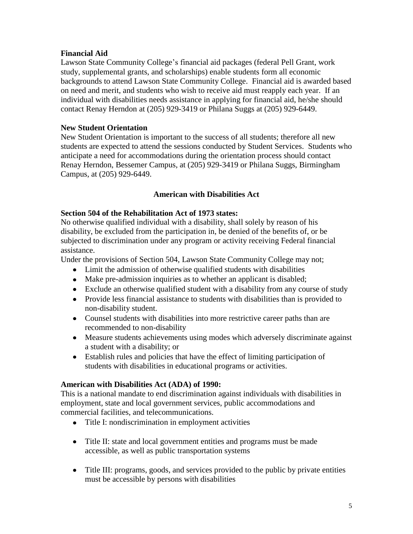#### **Financial Aid**

Lawson State Community College's financial aid packages (federal Pell Grant, work study, supplemental grants, and scholarships) enable students form all economic backgrounds to attend Lawson State Community College. Financial aid is awarded based on need and merit, and students who wish to receive aid must reapply each year. If an individual with disabilities needs assistance in applying for financial aid, he/she should contact Renay Herndon at (205) 929-3419 or Philana Suggs at (205) 929-6449.

#### **New Student Orientation**

New Student Orientation is important to the success of all students; therefore all new students are expected to attend the sessions conducted by Student Services. Students who anticipate a need for accommodations during the orientation process should contact Renay Herndon, Bessemer Campus, at (205) 929-3419 or Philana Suggs, Birmingham Campus, at (205) 929-6449.

#### **American with Disabilities Act**

#### **Section 504 of the Rehabilitation Act of 1973 states:**

No otherwise qualified individual with a disability, shall solely by reason of his disability, be excluded from the participation in, be denied of the benefits of, or be subjected to discrimination under any program or activity receiving Federal financial assistance.

Under the provisions of Section 504, Lawson State Community College may not;

- Limit the admission of otherwise qualified students with disabilities
- Make pre-admission inquiries as to whether an applicant is disabled;
- Exclude an otherwise qualified student with a disability from any course of study
- Provide less financial assistance to students with disabilities than is provided to non-disability student.
- Counsel students with disabilities into more restrictive career paths than are recommended to non-disability
- Measure students achievements using modes which adversely discriminate against a student with a disability; or
- Establish rules and policies that have the effect of limiting participation of students with disabilities in educational programs or activities.

#### **American with Disabilities Act (ADA) of 1990:**

This is a national mandate to end discrimination against individuals with disabilities in employment, state and local government services, public accommodations and commercial facilities, and telecommunications.

- Title I: nondiscrimination in employment activities
- Title II: state and local government entities and programs must be made accessible, as well as public transportation systems
- Title III: programs, goods, and services provided to the public by private entities must be accessible by persons with disabilities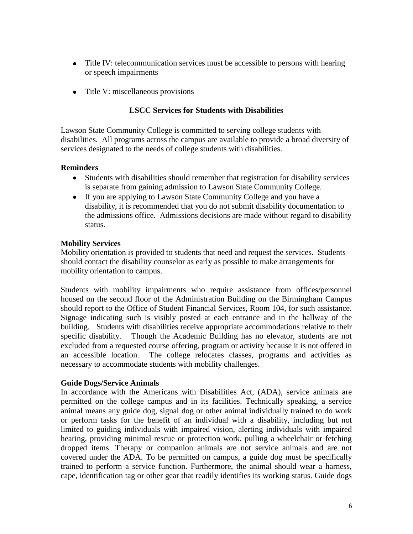- Title IV: telecommunication services must be accessible to persons with hearing or speech impairments
- Title V: miscellaneous provisions

#### **LSCC Services for Students with Disabilities**

Lawson State Community College is committed to serving college students with disabilities. All programs across the campus are available to provide a broad diversity of services designated to the needs of college students with disabilities.

#### **Reminders**

- Students with disabilities should remember that registration for disability services is separate from gaining admission to Lawson State Community College.
- If you are applying to Lawson State Community College and you have a disability, it is recommended that you do not submit disability documentation to the admissions office. Admissions decisions are made without regard to disability status.

#### **Mobility Services**

Mobility orientation is provided to students that need and request the services. Students should contact the disability counselor as early as possible to make arrangements for mobility orientation to campus.

Students with mobility impairments who require assistance from offices/personnel housed on the second floor of the Administration Building on the Birmingham Campus should report to the Office of Student Financial Services, Room 104, for such assistance. Signage indicating such is visibly posted at each entrance and in the hallway of the building. Students with disabilities receive appropriate accommodations relative to their specific disability. Though the Academic Building has no elevator, students are not excluded from a requested course offering, program or activity because it is not offered in an accessible location. The college relocates classes, programs and activities as necessary to accommodate students with mobility challenges.

#### **Guide Dogs/Service Animals**

In accordance with the Americans with Disabilities Act, (ADA), service animals are permitted on the college campus and in its facilities. Technically speaking, a service animal means any guide dog, signal dog or other animal individually trained to do work or perform tasks for the benefit of an individual with a disability, including but not limited to guiding individuals with impaired vision, alerting individuals with impaired hearing, providing minimal rescue or protection work, pulling a wheelchair or fetching dropped items. Therapy or companion animals are not service animals and are not covered under the ADA. To be permitted on campus, a guide dog must be specifically trained to perform a service function. Furthermore, the animal should wear a harness, cape, identification tag or other gear that readily identifies its working status. Guide dogs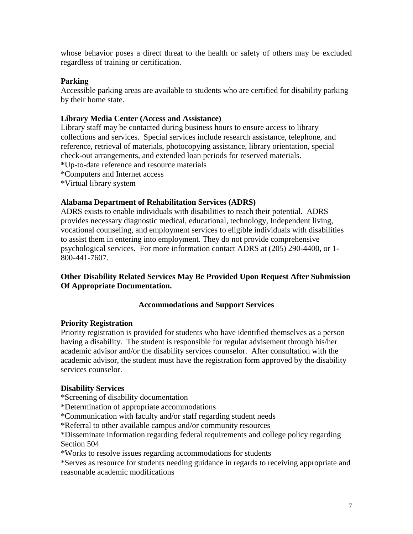whose behavior poses a direct threat to the health or safety of others may be excluded regardless of training or certification.

#### **Parking**

Accessible parking areas are available to students who are certified for disability parking by their home state.

#### **Library Media Center (Access and Assistance)**

Library staff may be contacted during business hours to ensure access to library collections and services. Special services include research assistance, telephone, and reference, retrieval of materials, photocopying assistance, library orientation, special check-out arrangements, and extended loan periods for reserved materials.

- **\***Up-to-date reference and resource materials
- \*Computers and Internet access
- \*Virtual library system

#### **Alabama Department of Rehabilitation Services (ADRS)**

ADRS exists to enable individuals with disabilities to reach their potential. ADRS provides necessary diagnostic medical, educational, technology, Independent living, vocational counseling, and employment services to eligible individuals with disabilities to assist them in entering into employment. They do not provide comprehensive psychological services. For more information contact ADRS at (205) 290-4400, or 1- 800-441-7607.

#### **Other Disability Related Services May Be Provided Upon Request After Submission Of Appropriate Documentation.**

#### **Accommodations and Support Services**

#### **Priority Registration**

Priority registration is provided for students who have identified themselves as a person having a disability. The student is responsible for regular advisement through his/her academic advisor and/or the disability services counselor. After consultation with the academic advisor, the student must have the registration form approved by the disability services counselor.

#### **Disability Services**

\*Screening of disability documentation

\*Determination of appropriate accommodations

\*Communication with faculty and/or staff regarding student needs

\*Referral to other available campus and/or community resources

\*Disseminate information regarding federal requirements and college policy regarding Section 504

\*Works to resolve issues regarding accommodations for students

\*Serves as resource for students needing guidance in regards to receiving appropriate and reasonable academic modifications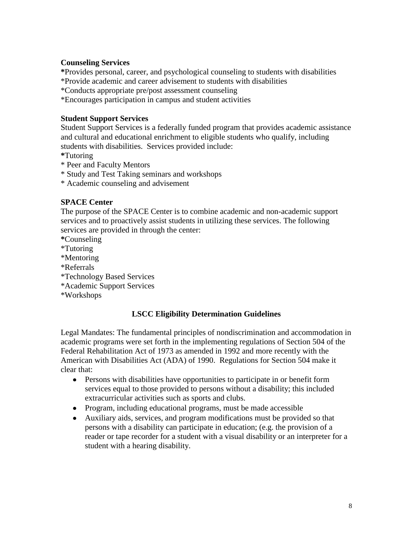#### **Counseling Services**

**\***Provides personal, career, and psychological counseling to students with disabilities

\*Provide academic and career advisement to students with disabilities

\*Conducts appropriate pre/post assessment counseling

\*Encourages participation in campus and student activities

#### **Student Support Services**

Student Support Services is a federally funded program that provides academic assistance and cultural and educational enrichment to eligible students who qualify, including students with disabilities. Services provided include:

- **\***Tutoring
- \* Peer and Faculty Mentors
- \* Study and Test Taking seminars and workshops
- \* Academic counseling and advisement

#### **SPACE Center**

The purpose of the SPACE Center is to combine academic and non-academic support services and to proactively assist students in utilizing these services. The following services are provided in through the center:

**\***Counseling

- \*Tutoring
- \*Mentoring
- \*Referrals
- \*Technology Based Services
- \*Academic Support Services
- \*Workshops

#### **LSCC Eligibility Determination Guidelines**

Legal Mandates: The fundamental principles of nondiscrimination and accommodation in academic programs were set forth in the implementing regulations of Section 504 of the Federal Rehabilitation Act of 1973 as amended in 1992 and more recently with the American with Disabilities Act (ADA) of 1990. Regulations for Section 504 make it clear that:

- Persons with disabilities have opportunities to participate in or benefit form services equal to those provided to persons without a disability; this included extracurricular activities such as sports and clubs.
- Program, including educational programs, must be made accessible
- Auxiliary aids, services, and program modifications must be provided so that persons with a disability can participate in education; (e.g. the provision of a reader or tape recorder for a student with a visual disability or an interpreter for a student with a hearing disability.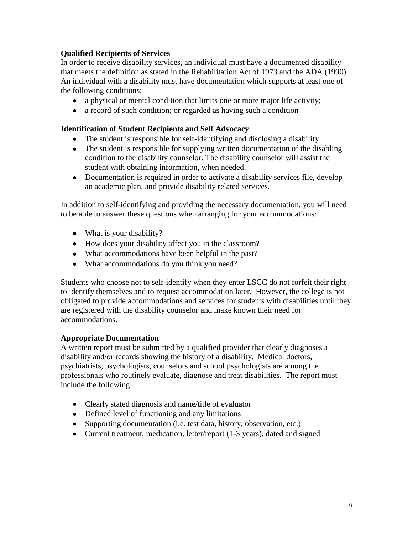## **Qualified Recipients of Services**

In order to receive disability services, an individual must have a documented disability that meets the definition as stated in the Rehabilitation Act of 1973 and the ADA (1990). An individual with a disability must have documentation which supports at least one of the following conditions:

- a physical or mental condition that limits one or more major life activity;
- a record of such condition; or regarded as having such a condition

#### **Identification of Student Recipients and Self Advocacy**

- The student is responsible for self-identifying and disclosing a disability
- The student is responsible for supplying written documentation of the disabling condition to the disability counselor. The disability counselor will assist the student with obtaining information, when needed.
- Documentation is required in order to activate a disability services file, develop an academic plan, and provide disability related services.

In addition to self-identifying and providing the necessary documentation, you will need to be able to answer these questions when arranging for your accommodations:

- What is your disability?
- How does your disability affect you in the classroom?
- What accommodations have been helpful in the past?
- What accommodations do you think you need?

Students who choose not to self-identify when they enter LSCC do not forfeit their right to identify themselves and to request accommodation later. However, the college is not obligated to provide accommodations and services for students with disabilities until they are registered with the disability counselor and make known their need for accommodations.

#### **Appropriate Documentation**

A written report must be submitted by a qualified provider that clearly diagnoses a disability and/or records showing the history of a disability. Medical doctors, psychiatrists, psychologists, counselors and school psychologists are among the professionals who routinely evaluate, diagnose and treat disabilities. The report must include the following:

- Clearly stated diagnosis and name/title of evaluator
- Defined level of functioning and any limitations
- Supporting documentation (i.e. test data, history, observation, etc.)
- Current treatment, medication, letter/report (1-3 years), dated and signed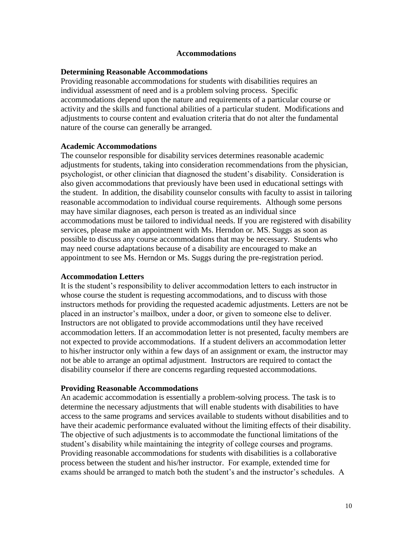#### **Accommodations**

#### **Determining Reasonable Accommodations**

Providing reasonable accommodations for students with disabilities requires an individual assessment of need and is a problem solving process. Specific accommodations depend upon the nature and requirements of a particular course or activity and the skills and functional abilities of a particular student. Modifications and adjustments to course content and evaluation criteria that do not alter the fundamental nature of the course can generally be arranged.

#### **Academic Accommodations**

The counselor responsible for disability services determines reasonable academic adjustments for students, taking into consideration recommendations from the physician, psychologist, or other clinician that diagnosed the student's disability. Consideration is also given accommodations that previously have been used in educational settings with the student. In addition, the disability counselor consults with faculty to assist in tailoring reasonable accommodation to individual course requirements. Although some persons may have similar diagnoses, each person is treated as an individual since accommodations must be tailored to individual needs. If you are registered with disability services, please make an appointment with Ms. Herndon or. MS. Suggs as soon as possible to discuss any course accommodations that may be necessary. Students who may need course adaptations because of a disability are encouraged to make an appointment to see Ms. Herndon or Ms. Suggs during the pre-registration period.

#### **Accommodation Letters**

It is the student's responsibility to deliver accommodation letters to each instructor in whose course the student is requesting accommodations, and to discuss with those instructors methods for providing the requested academic adjustments. Letters are not be placed in an instructor's mailbox, under a door, or given to someone else to deliver. Instructors are not obligated to provide accommodations until they have received accommodation letters. If an accommodation letter is not presented, faculty members are not expected to provide accommodations. If a student delivers an accommodation letter to his/her instructor only within a few days of an assignment or exam, the instructor may not be able to arrange an optimal adjustment. Instructors are required to contact the disability counselor if there are concerns regarding requested accommodations.

#### **Providing Reasonable Accommodations**

An academic accommodation is essentially a problem-solving process. The task is to determine the necessary adjustments that will enable students with disabilities to have access to the same programs and services available to students without disabilities and to have their academic performance evaluated without the limiting effects of their disability. The objective of such adjustments is to accommodate the functional limitations of the student's disability while maintaining the integrity of college courses and programs. Providing reasonable accommodations for students with disabilities is a collaborative process between the student and his/her instructor. For example, extended time for exams should be arranged to match both the student's and the instructor's schedules. A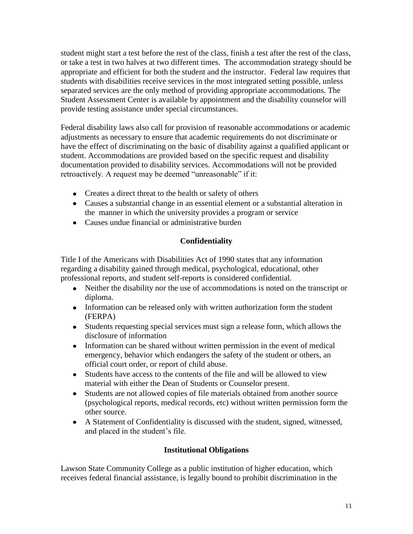student might start a test before the rest of the class, finish a test after the rest of the class, or take a test in two halves at two different times. The accommodation strategy should be appropriate and efficient for both the student and the instructor. Federal law requires that students with disabilities receive services in the most integrated setting possible, unless separated services are the only method of providing appropriate accommodations. The Student Assessment Center is available by appointment and the disability counselor will provide testing assistance under special circumstances.

Federal disability laws also call for provision of reasonable accommodations or academic adjustments as necessary to ensure that academic requirements do not discriminate or have the effect of discriminating on the basic of disability against a qualified applicant or student. Accommodations are provided based on the specific request and disability documentation provided to disability services. Accommodations will not be provided retroactively. A request may be deemed "unreasonable" if it:

- Creates a direct threat to the health or safety of others
- Causes a substantial change in an essential element or a substantial alteration in the manner in which the university provides a program or service
- Causes undue financial or administrative burden

## **Confidentiality**

Title I of the Americans with Disabilities Act of 1990 states that any information regarding a disability gained through medical, psychological, educational, other professional reports, and student self-reports is considered confidential.

- Neither the disability nor the use of accommodations is noted on the transcript or diploma.
- Information can be released only with written authorization form the student (FERPA)
- Students requesting special services must sign a release form, which allows the disclosure of information
- Information can be shared without written permission in the event of medical emergency, behavior which endangers the safety of the student or others, an official court order, or report of child abuse.
- Students have access to the contents of the file and will be allowed to view material with either the Dean of Students or Counselor present.
- Students are not allowed copies of file materials obtained from another source (psychological reports, medical records, etc) without written permission form the other source.
- A Statement of Confidentiality is discussed with the student, signed, witnessed, and placed in the student's file.

#### **Institutional Obligations**

Lawson State Community College as a public institution of higher education, which receives federal financial assistance, is legally bound to prohibit discrimination in the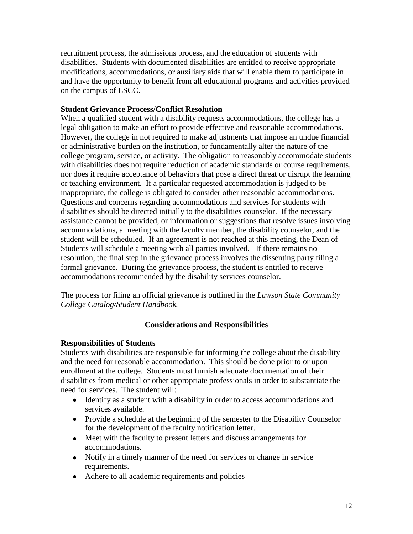recruitment process, the admissions process, and the education of students with disabilities. Students with documented disabilities are entitled to receive appropriate modifications, accommodations, or auxiliary aids that will enable them to participate in and have the opportunity to benefit from all educational programs and activities provided on the campus of LSCC.

#### **Student Grievance Process/Conflict Resolution**

When a qualified student with a disability requests accommodations, the college has a legal obligation to make an effort to provide effective and reasonable accommodations. However, the college in not required to make adjustments that impose an undue financial or administrative burden on the institution, or fundamentally alter the nature of the college program, service, or activity. The obligation to reasonably accommodate students with disabilities does not require reduction of academic standards or course requirements, nor does it require acceptance of behaviors that pose a direct threat or disrupt the learning or teaching environment. If a particular requested accommodation is judged to be inappropriate, the college is obligated to consider other reasonable accommodations. Questions and concerns regarding accommodations and services for students with disabilities should be directed initially to the disabilities counselor. If the necessary assistance cannot be provided, or information or suggestions that resolve issues involving accommodations, a meeting with the faculty member, the disability counselor, and the student will be scheduled. If an agreement is not reached at this meeting, the Dean of Students will schedule a meeting with all parties involved. If there remains no resolution, the final step in the grievance process involves the dissenting party filing a formal grievance. During the grievance process, the student is entitled to receive accommodations recommended by the disability services counselor.

The process for filing an official grievance is outlined in the *Lawson State Community College Catalog/Student Handbook.*

#### **Considerations and Responsibilities**

#### **Responsibilities of Students**

Students with disabilities are responsible for informing the college about the disability and the need for reasonable accommodation. This should be done prior to or upon enrollment at the college. Students must furnish adequate documentation of their disabilities from medical or other appropriate professionals in order to substantiate the need for services. The student will:

- Identify as a student with a disability in order to access accommodations and services available.
- Provide a schedule at the beginning of the semester to the Disability Counselor for the development of the faculty notification letter.
- Meet with the faculty to present letters and discuss arrangements for accommodations.
- Notify in a timely manner of the need for services or change in service requirements.
- Adhere to all academic requirements and policies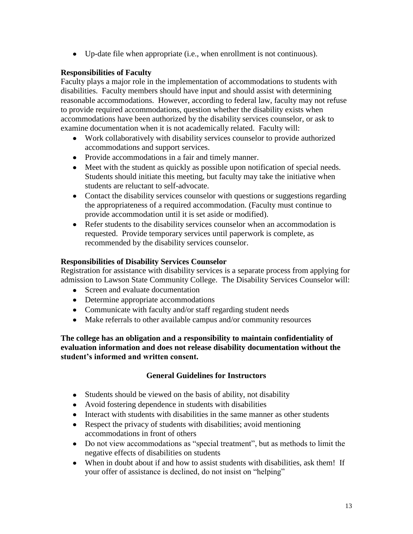Up-date file when appropriate (i.e., when enrollment is not continuous).

## **Responsibilities of Faculty**

Faculty plays a major role in the implementation of accommodations to students with disabilities. Faculty members should have input and should assist with determining reasonable accommodations. However, according to federal law, faculty may not refuse to provide required accommodations, question whether the disability exists when accommodations have been authorized by the disability services counselor, or ask to examine documentation when it is not academically related. Faculty will:

- Work collaboratively with disability services counselor to provide authorized accommodations and support services.
- Provide accommodations in a fair and timely manner.
- Meet with the student as quickly as possible upon notification of special needs. Students should initiate this meeting, but faculty may take the initiative when students are reluctant to self-advocate.
- Contact the disability services counselor with questions or suggestions regarding the appropriateness of a required accommodation. (Faculty must continue to provide accommodation until it is set aside or modified).
- Refer students to the disability services counselor when an accommodation is requested. Provide temporary services until paperwork is complete, as recommended by the disability services counselor.

## **Responsibilities of Disability Services Counselor**

Registration for assistance with disability services is a separate process from applying for admission to Lawson State Community College. The Disability Services Counselor will:

- Screen and evaluate documentation
- Determine appropriate accommodations
- Communicate with faculty and/or staff regarding student needs
- Make referrals to other available campus and/or community resources

**The college has an obligation and a responsibility to maintain confidentiality of evaluation information and does not release disability documentation without the student's informed and written consent.** 

## **General Guidelines for Instructors**

- Students should be viewed on the basis of ability, not disability
- Avoid fostering dependence in students with disabilities
- Interact with students with disabilities in the same manner as other students
- Respect the privacy of students with disabilities; avoid mentioning accommodations in front of others
- Do not view accommodations as "special treatment", but as methods to limit the negative effects of disabilities on students
- When in doubt about if and how to assist students with disabilities, ask them! If your offer of assistance is declined, do not insist on "helping"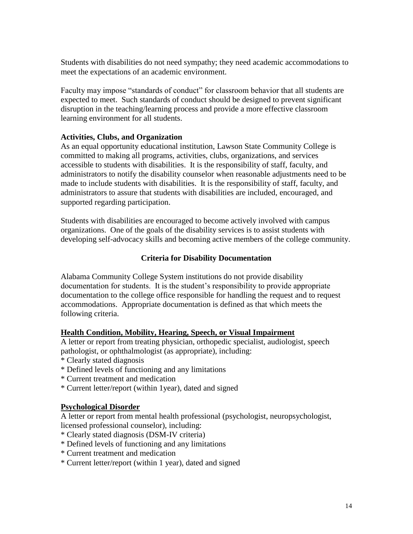Students with disabilities do not need sympathy; they need academic accommodations to meet the expectations of an academic environment.

Faculty may impose "standards of conduct" for classroom behavior that all students are expected to meet. Such standards of conduct should be designed to prevent significant disruption in the teaching/learning process and provide a more effective classroom learning environment for all students.

#### **Activities, Clubs, and Organization**

As an equal opportunity educational institution, Lawson State Community College is committed to making all programs, activities, clubs, organizations, and services accessible to students with disabilities. It is the responsibility of staff, faculty, and administrators to notify the disability counselor when reasonable adjustments need to be made to include students with disabilities. It is the responsibility of staff, faculty, and administrators to assure that students with disabilities are included, encouraged, and supported regarding participation.

Students with disabilities are encouraged to become actively involved with campus organizations. One of the goals of the disability services is to assist students with developing self-advocacy skills and becoming active members of the college community.

#### **Criteria for Disability Documentation**

Alabama Community College System institutions do not provide disability documentation for students. It is the student's responsibility to provide appropriate documentation to the college office responsible for handling the request and to request accommodations. Appropriate documentation is defined as that which meets the following criteria.

#### **Health Condition, Mobility, Hearing, Speech, or Visual Impairment**

A letter or report from treating physician, orthopedic specialist, audiologist, speech pathologist, or ophthalmologist (as appropriate), including:

- \* Clearly stated diagnosis
- \* Defined levels of functioning and any limitations
- \* Current treatment and medication
- \* Current letter/report (within 1year), dated and signed

#### **Psychological Disorder**

A letter or report from mental health professional (psychologist, neuropsychologist, licensed professional counselor), including:

- \* Clearly stated diagnosis (DSM-IV criteria)
- \* Defined levels of functioning and any limitations
- \* Current treatment and medication
- \* Current letter/report (within 1 year), dated and signed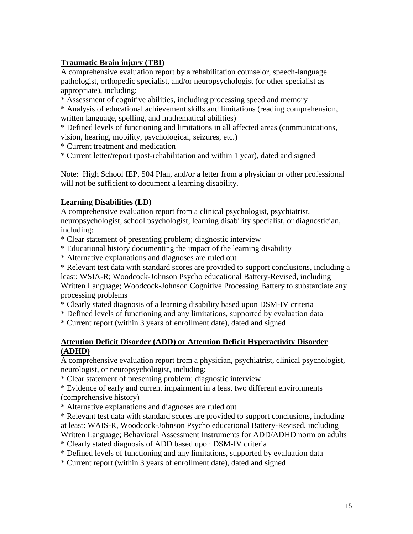## **Traumatic Brain injury (TBI)**

A comprehensive evaluation report by a rehabilitation counselor, speech-language pathologist, orthopedic specialist, and/or neuropsychologist (or other specialist as appropriate), including:

\* Assessment of cognitive abilities, including processing speed and memory

\* Analysis of educational achievement skills and limitations (reading comprehension, written language, spelling, and mathematical abilities)

\* Defined levels of functioning and limitations in all affected areas (communications, vision, hearing, mobility, psychological, seizures, etc.)

\* Current treatment and medication

\* Current letter/report (post-rehabilitation and within 1 year), dated and signed

Note: High School IEP, 504 Plan, and/or a letter from a physician or other professional will not be sufficient to document a learning disability.

#### **Learning Disabilities (LD)**

A comprehensive evaluation report from a clinical psychologist, psychiatrist, neuropsychologist, school psychologist, learning disability specialist, or diagnostician, including:

\* Clear statement of presenting problem; diagnostic interview

- \* Educational history documenting the impact of the learning disability
- \* Alternative explanations and diagnoses are ruled out

\* Relevant test data with standard scores are provided to support conclusions, including a least: WSIA-R; Woodcock-Johnson Psycho educational Battery-Revised, including Written Language; Woodcock-Johnson Cognitive Processing Battery to substantiate any processing problems

\* Clearly stated diagnosis of a learning disability based upon DSM-IV criteria

\* Defined levels of functioning and any limitations, supported by evaluation data

\* Current report (within 3 years of enrollment date), dated and signed

#### **Attention Deficit Disorder (ADD) or Attention Deficit Hyperactivity Disorder (ADHD)**

A comprehensive evaluation report from a physician, psychiatrist, clinical psychologist, neurologist, or neuropsychologist, including:

\* Clear statement of presenting problem; diagnostic interview

\* Evidence of early and current impairment in a least two different environments (comprehensive history)

\* Alternative explanations and diagnoses are ruled out

\* Relevant test data with standard scores are provided to support conclusions, including at least: WAIS-R, Woodcock-Johnson Psycho educational Battery-Revised, including Written Language; Behavioral Assessment Instruments for ADD/ADHD norm on adults

\* Clearly stated diagnosis of ADD based upon DSM-IV criteria

\* Defined levels of functioning and any limitations, supported by evaluation data

\* Current report (within 3 years of enrollment date), dated and signed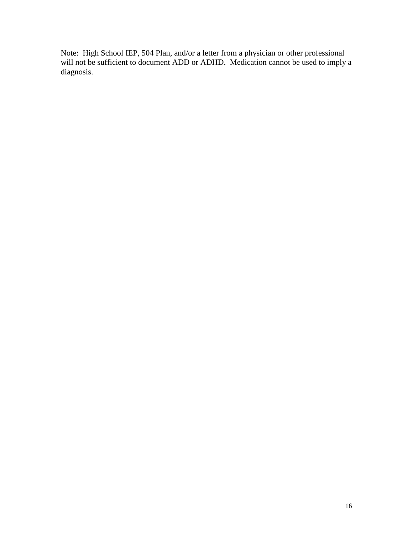Note: High School IEP, 504 Plan, and/or a letter from a physician or other professional will not be sufficient to document ADD or ADHD. Medication cannot be used to imply a diagnosis.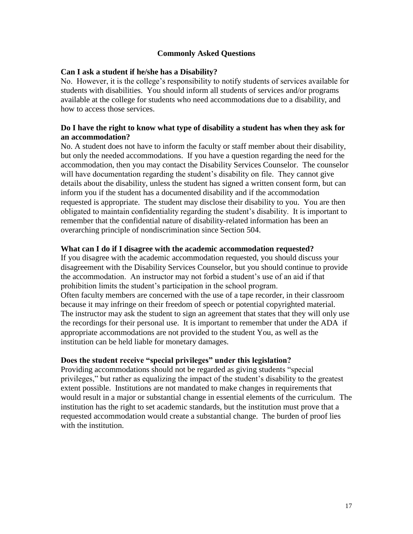#### **Commonly Asked Questions**

#### **Can I ask a student if he/she has a Disability?**

No. However, it is the college's responsibility to notify students of services available for students with disabilities. You should inform all students of services and/or programs available at the college for students who need accommodations due to a disability, and how to access those services.

#### **Do I have the right to know what type of disability a student has when they ask for an accommodation?**

No. A student does not have to inform the faculty or staff member about their disability, but only the needed accommodations. If you have a question regarding the need for the accommodation, then you may contact the Disability Services Counselor. The counselor will have documentation regarding the student's disability on file. They cannot give details about the disability, unless the student has signed a written consent form, but can inform you if the student has a documented disability and if the accommodation requested is appropriate. The student may disclose their disability to you. You are then obligated to maintain confidentiality regarding the student's disability. It is important to remember that the confidential nature of disability-related information has been an overarching principle of nondiscrimination since Section 504.

#### **What can I do if I disagree with the academic accommodation requested?**

If you disagree with the academic accommodation requested, you should discuss your disagreement with the Disability Services Counselor, but you should continue to provide the accommodation. An instructor may not forbid a student's use of an aid if that prohibition limits the student's participation in the school program. Often faculty members are concerned with the use of a tape recorder, in their classroom because it may infringe on their freedom of speech or potential copyrighted material. The instructor may ask the student to sign an agreement that states that they will only use the recordings for their personal use. It is important to remember that under the ADA if appropriate accommodations are not provided to the student You, as well as the institution can be held liable for monetary damages.

#### **Does the student receive "special privileges" under this legislation?**

Providing accommodations should not be regarded as giving students "special privileges," but rather as equalizing the impact of the student's disability to the greatest extent possible. Institutions are not mandated to make changes in requirements that would result in a major or substantial change in essential elements of the curriculum. The institution has the right to set academic standards, but the institution must prove that a requested accommodation would create a substantial change. The burden of proof lies with the institution.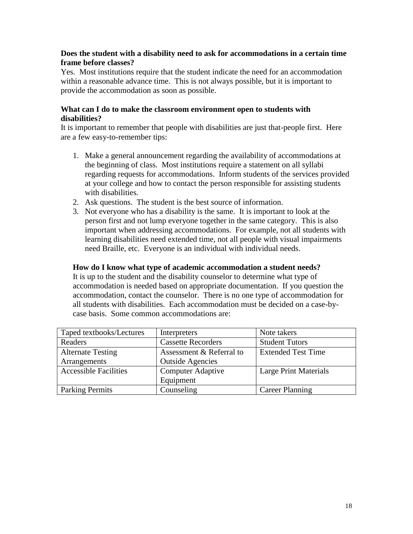#### **Does the student with a disability need to ask for accommodations in a certain time frame before classes?**

Yes. Most institutions require that the student indicate the need for an accommodation within a reasonable advance time. This is not always possible, but it is important to provide the accommodation as soon as possible.

#### **What can I do to make the classroom environment open to students with disabilities?**

It is important to remember that people with disabilities are just that-people first. Here are a few easy-to-remember tips:

- 1. Make a general announcement regarding the availability of accommodations at the beginning of class. Most institutions require a statement on all syllabi regarding requests for accommodations. Inform students of the services provided at your college and how to contact the person responsible for assisting students with disabilities.
- 2. Ask questions. The student is the best source of information.
- 3. Not everyone who has a disability is the same. It is important to look at the person first and not lump everyone together in the same category. This is also important when addressing accommodations. For example, not all students with learning disabilities need extended time, not all people with visual impairments need Braille, etc. Everyone is an individual with individual needs.

#### **How do I know what type of academic accommodation a student needs?**

It is up to the student and the disability counselor to determine what type of accommodation is needed based on appropriate documentation. If you question the accommodation, contact the counselor. There is no one type of accommodation for all students with disabilities. Each accommodation must be decided on a case-bycase basis. Some common accommodations are:

| Taped textbooks/Lectures     | Interpreters              | Note takers               |
|------------------------------|---------------------------|---------------------------|
| Readers                      | <b>Cassette Recorders</b> | <b>Student Tutors</b>     |
| <b>Alternate Testing</b>     | Assessment & Referral to  | <b>Extended Test Time</b> |
| Arrangements                 | <b>Outside Agencies</b>   |                           |
| <b>Accessible Facilities</b> | <b>Computer Adaptive</b>  | Large Print Materials     |
|                              | Equipment                 |                           |
| <b>Parking Permits</b>       | Counseling                | <b>Career Planning</b>    |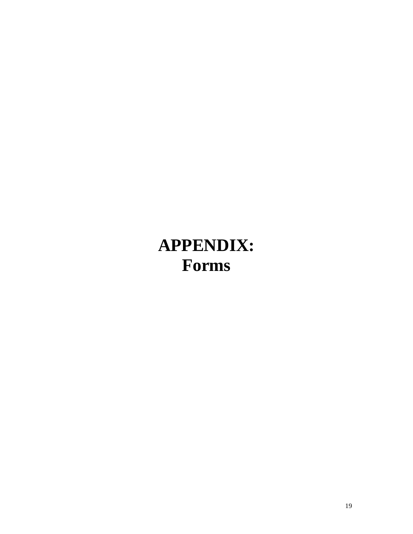# **APPENDIX: Forms**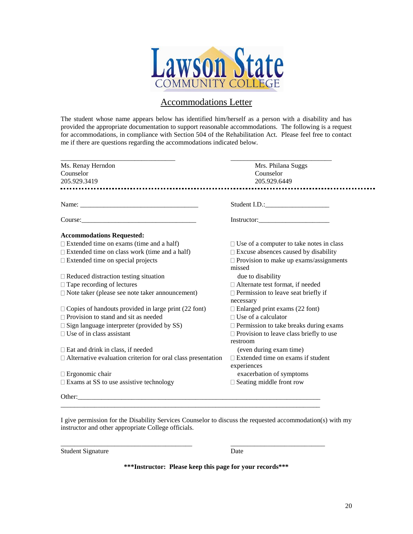

## Accommodations Letter

The student whose name appears below has identified him/herself as a person with a disability and has provided the appropriate documentation to support reasonable accommodations. The following is a request for accommodations, in compliance with Section 504 of the Rehabilitation Act. Please feel free to contact me if there are questions regarding the accommodations indicated below.

| Ms. Renay Herndon                                                                                                                                                                                                              | Mrs. Philana Suggs                                      |
|--------------------------------------------------------------------------------------------------------------------------------------------------------------------------------------------------------------------------------|---------------------------------------------------------|
| Counselor                                                                                                                                                                                                                      | Counselor                                               |
| 205.929.3419                                                                                                                                                                                                                   | 205.929.6449                                            |
|                                                                                                                                                                                                                                | -----------------------                                 |
|                                                                                                                                                                                                                                | Student I.D.:                                           |
| Course: Course and Course and Course and Course and Course and Course and Course and Course and Course and Course and Course and Course and Course and Course and Course and Course and Course and Course and Course and Cours | Instructor:                                             |
| <b>Accommodations Requested:</b>                                                                                                                                                                                               |                                                         |
| $\Box$ Extended time on exams (time and a half)                                                                                                                                                                                | $\Box$ Use of a computer to take notes in class         |
| $\Box$ Extended time on class work (time and a half)                                                                                                                                                                           | □ Excuse absences caused by disability                  |
| $\Box$ Extended time on special projects                                                                                                                                                                                       | $\Box$ Provision to make up exams/assignments<br>missed |
| $\Box$ Reduced distraction testing situation                                                                                                                                                                                   | due to disability                                       |
| $\Box$ Tape recording of lectures                                                                                                                                                                                              | □ Alternate test format, if needed                      |
| $\Box$ Note taker (please see note taker announcement)                                                                                                                                                                         | $\Box$ Permission to leave seat briefly if<br>necessary |
| $\Box$ Copies of handouts provided in large print (22 font)                                                                                                                                                                    | $\Box$ Enlarged print exams (22 font)                   |
| $\Box$ Provision to stand and sit as needed                                                                                                                                                                                    | $\Box$ Use of a calculator                              |
| $\square$ Sign language interpreter (provided by SS)                                                                                                                                                                           | $\square$ Permission to take breaks during exams        |
| $\Box$ Use of in class assistant                                                                                                                                                                                               | $\Box$ Provision to leave class briefly to use          |
|                                                                                                                                                                                                                                | restroom                                                |
| $\square$ Eat and drink in class, if needed                                                                                                                                                                                    | (even during exam time)                                 |
| $\Box$ Alternative evaluation criterion for oral class presentation                                                                                                                                                            | $\Box$ Extended time on exams if student                |
|                                                                                                                                                                                                                                | experiences                                             |
| $\Box$ Ergonomic chair                                                                                                                                                                                                         | exacerbation of symptoms                                |
| $\square$ Exams at SS to use assistive technology                                                                                                                                                                              | $\Box$ Seating middle front row                         |
| Other:                                                                                                                                                                                                                         |                                                         |

I give permission for the Disability Services Counselor to discuss the requested accommodation(s) with my instructor and other appropriate College officials.

| <b>Student Signature</b> | Date |
|--------------------------|------|
|                          |      |

\_\_\_\_\_\_\_\_\_\_\_\_\_\_\_\_\_\_\_\_\_\_\_\_\_\_\_\_\_\_\_\_\_\_\_\_\_\_\_ \_\_\_\_\_\_\_\_\_\_\_\_\_\_\_\_\_\_\_\_\_\_\_\_\_\_\_\_

**\*\*\*Instructor: Please keep this page for your records\*\*\***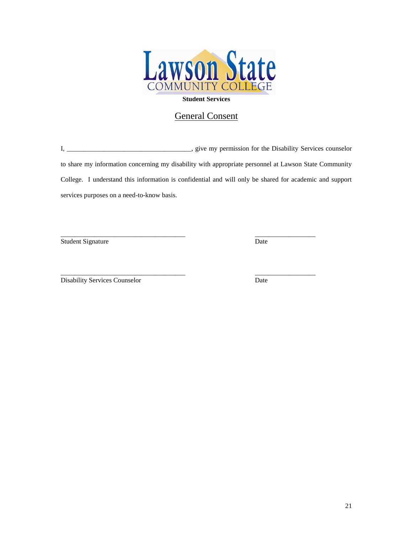

## General Consent

I, \_\_\_\_\_\_\_\_\_\_\_\_\_\_\_\_\_\_\_\_\_\_\_\_\_\_\_\_\_\_\_\_\_\_\_\_\_, give my permission for the Disability Services counselor to share my information concerning my disability with appropriate personnel at Lawson State Community College. I understand this information is confidential and will only be shared for academic and support services purposes on a need-to-know basis.

\_\_\_\_\_\_\_\_\_\_\_\_\_\_\_\_\_\_\_\_\_\_\_\_\_\_\_\_\_\_\_\_\_\_\_\_\_ \_\_\_\_\_\_\_\_\_\_\_\_\_\_\_\_\_\_

\_\_\_\_\_\_\_\_\_\_\_\_\_\_\_\_\_\_\_\_\_\_\_\_\_\_\_\_\_\_\_\_\_\_\_\_\_ \_\_\_\_\_\_\_\_\_\_\_\_\_\_\_\_\_\_

Student Signature Date

Disability Services Counselor Date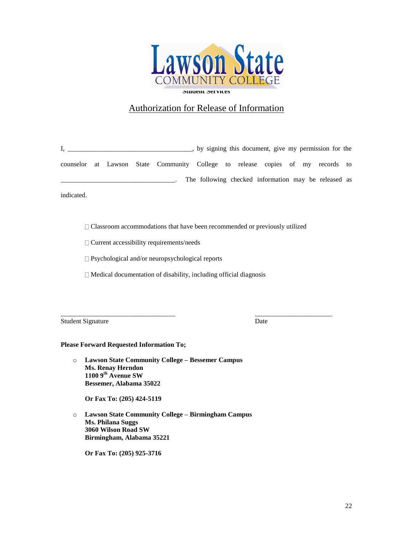

## Authorization for Release of Information

I, \_\_\_\_\_\_\_\_\_\_\_\_\_\_\_\_\_\_\_\_\_\_\_\_\_\_\_\_\_\_\_\_\_, by signing this document, give my permission for the counselor at Lawson State Community College to release copies of my records to \_\_\_\_\_\_\_\_\_\_\_\_\_\_\_\_\_\_\_\_\_\_\_\_\_\_\_\_\_\_\_\_\_\_. The following checked information may be released as

indicated.

 $\Box$  Classroom accommodations that have been recommended or previously utilized

\_\_\_\_\_\_\_\_\_\_\_\_\_\_\_\_\_\_\_\_\_\_\_\_\_\_\_\_\_\_\_\_\_\_ \_\_\_\_\_\_\_\_\_\_\_\_\_\_\_\_\_\_\_\_\_\_\_

Current accessibility requirements/needs

□ Psychological and/or neuropsychological reports

Medical documentation of disability, including official diagnosis

Student Signature Date

#### **Please Forward Requested Information To;**

o **Lawson State Community College – Bessemer Campus Ms. Renay Herndon 1100 9th Avenue SW Bessemer, Alabama 35022**

**Or Fax To: (205) 424-5119**

o **Lawson State Community College – Birmingham Campus Ms. Philana Suggs 3060 Wilson Road SW Birmingham, Alabama 35221**

**Or Fax To: (205) 925-3716**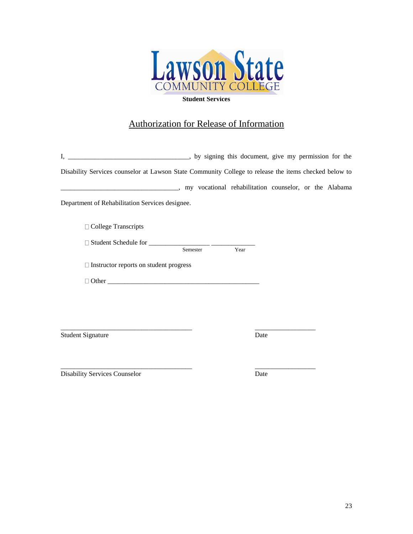

## Authorization for Release of Information

| by signing this document, give my permission for the                                                  |          |      |      |  |  |
|-------------------------------------------------------------------------------------------------------|----------|------|------|--|--|
| Disability Services counselor at Lawson State Community College to release the items checked below to |          |      |      |  |  |
|                                                                                                       |          |      |      |  |  |
| Department of Rehabilitation Services designee.                                                       |          |      |      |  |  |
| □ College Transcripts                                                                                 |          |      |      |  |  |
|                                                                                                       | Semester | Year |      |  |  |
| $\Box$ Instructor reports on student progress                                                         |          |      |      |  |  |
|                                                                                                       |          |      |      |  |  |
|                                                                                                       |          |      |      |  |  |
|                                                                                                       |          |      |      |  |  |
| <b>Student Signature</b>                                                                              |          |      | Date |  |  |
|                                                                                                       |          |      |      |  |  |
| <b>Disability Services Counselor</b>                                                                  |          |      | Date |  |  |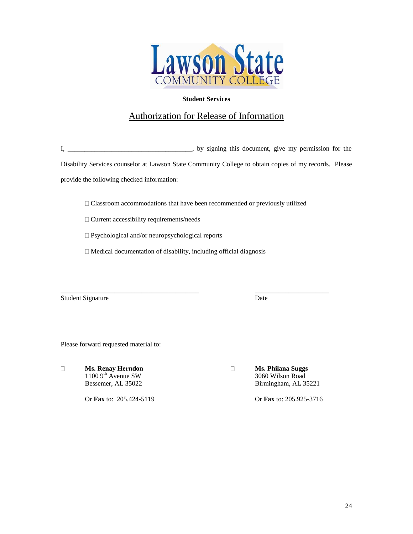

## Authorization for Release of Information

I, \_\_\_\_\_\_\_\_\_\_\_\_\_\_\_\_\_\_\_\_\_\_\_\_\_\_\_\_\_\_\_\_, by signing this document, give my permission for the

Disability Services counselor at Lawson State Community College to obtain copies of my records. Please provide the following checked information:

Classroom accommodations that have been recommended or previously utilized

Current accessibility requirements/needs

□ Psychological and/or neuropsychological reports

Medical documentation of disability, including official diagnosis

\_\_\_\_\_\_\_\_\_\_\_\_\_\_\_\_\_\_\_\_\_\_\_\_\_\_\_\_\_\_\_\_\_\_\_\_\_\_\_\_\_ \_\_\_\_\_\_\_\_\_\_\_\_\_\_\_\_\_\_\_\_\_\_ Student Signature Date

Please forward requested material to:

 $\Box$ 

Or **Fax** to: 205.424-5119 Or **Fax** to: 205.925-3716

**Ms. Renay Herndon Ms. Philana Suggs** 1100 9th Avenue SW 3060 Wilson Road<br>Bessemer, AL 35022 Birmingham, AL 3 Birmingham, AL 35221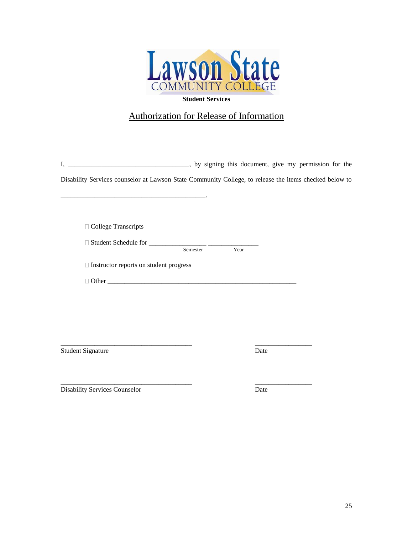

## Authorization for Release of Information

I, \_\_\_\_\_\_\_\_\_\_\_\_\_\_\_\_\_\_\_\_\_\_\_\_\_\_\_\_\_\_\_\_, by signing this document, give my permission for the

Disability Services counselor at Lawson State Community College, to release the items checked below to

□ College Transcripts

Student Schedule for \_\_\_\_\_\_\_\_\_\_\_\_\_\_\_\_\_ \_\_\_\_\_\_\_\_\_\_\_\_\_\_\_

Semester Year

Instructor reports on student progress

\_\_\_\_\_\_\_\_\_\_\_\_\_\_\_\_\_\_\_\_\_\_\_\_\_\_\_\_\_\_\_\_\_\_\_\_\_\_\_\_\_\_\_.

 $\Box$  Other

Student Signature Date

\_\_\_\_\_\_\_\_\_\_\_\_\_\_\_\_\_\_\_\_\_\_\_\_\_\_\_\_\_\_\_\_\_\_\_\_\_\_\_ \_\_\_\_\_\_\_\_\_\_\_\_\_\_\_\_\_

\_\_\_\_\_\_\_\_\_\_\_\_\_\_\_\_\_\_\_\_\_\_\_\_\_\_\_\_\_\_\_\_\_\_\_\_\_\_\_ \_\_\_\_\_\_\_\_\_\_\_\_\_\_\_\_\_ Disability Services Counselor Date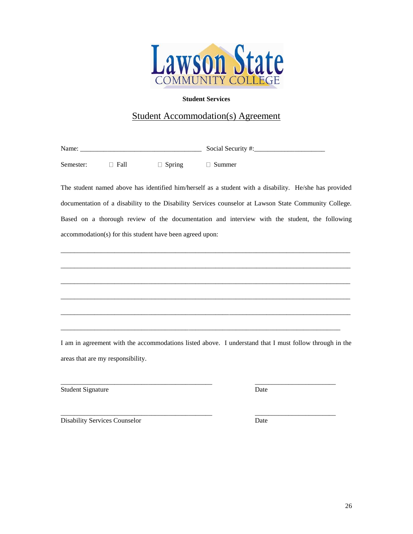

## Student Accommodation(s) Agreement

Name: \_\_\_\_\_\_\_\_\_\_\_\_\_\_\_\_\_\_\_\_\_\_\_\_\_\_\_\_\_\_\_\_\_\_\_\_ Social Security #:\_\_\_\_\_\_\_\_\_\_\_\_\_\_\_\_\_\_\_\_\_

Semester:  $\Box$  Fall  $\Box$  Spring  $\Box$  Summer

The student named above has identified him/herself as a student with a disability. He/she has provided documentation of a disability to the Disability Services counselor at Lawson State Community College. Based on a thorough review of the documentation and interview with the student, the following accommodation(s) for this student have been agreed upon:

\_\_\_\_\_\_\_\_\_\_\_\_\_\_\_\_\_\_\_\_\_\_\_\_\_\_\_\_\_\_\_\_\_\_\_\_\_\_\_\_\_\_\_\_\_\_\_\_\_\_\_\_\_\_\_\_\_\_\_\_\_\_\_\_\_\_\_\_\_\_\_\_\_\_\_\_\_\_\_\_\_\_\_\_\_\_

\_\_\_\_\_\_\_\_\_\_\_\_\_\_\_\_\_\_\_\_\_\_\_\_\_\_\_\_\_\_\_\_\_\_\_\_\_\_\_\_\_\_\_\_\_\_\_\_\_\_\_\_\_\_\_\_\_\_\_\_\_\_\_\_\_\_\_\_\_\_\_\_\_\_\_\_\_\_\_\_\_\_\_\_\_\_

\_\_\_\_\_\_\_\_\_\_\_\_\_\_\_\_\_\_\_\_\_\_\_\_\_\_\_\_\_\_\_\_\_\_\_\_\_\_\_\_\_\_\_\_\_\_\_\_\_\_\_\_\_\_\_\_\_\_\_\_\_\_\_\_\_\_\_\_\_\_\_\_\_\_\_\_\_\_\_\_\_\_\_\_\_\_

\_\_\_\_\_\_\_\_\_\_\_\_\_\_\_\_\_\_\_\_\_\_\_\_\_\_\_\_\_\_\_\_\_\_\_\_\_\_\_\_\_\_\_\_\_\_\_\_\_\_\_\_\_\_\_\_\_\_\_\_\_\_\_\_\_\_\_\_\_\_\_\_\_\_\_\_\_\_\_\_\_\_\_\_\_\_

\_\_\_\_\_\_\_\_\_\_\_\_\_\_\_\_\_\_\_\_\_\_\_\_\_\_\_\_\_\_\_\_\_\_\_\_\_\_\_\_\_\_\_\_\_\_\_\_\_\_\_\_\_\_\_\_\_\_\_\_\_\_\_\_\_\_\_\_\_\_\_\_\_\_\_\_\_\_\_\_\_\_\_\_\_\_

\_\_\_\_\_\_\_\_\_\_\_\_\_\_\_\_\_\_\_\_\_\_\_\_\_\_\_\_\_\_\_\_\_\_\_\_\_\_\_\_\_\_\_\_\_\_\_\_\_\_\_\_\_\_\_\_\_\_\_\_\_\_\_\_\_\_\_\_\_\_\_\_\_\_\_\_\_\_\_\_\_\_\_

I am in agreement with the accommodations listed above. I understand that I must follow through in the areas that are my responsibility.

\_\_\_\_\_\_\_\_\_\_\_\_\_\_\_\_\_\_\_\_\_\_\_\_\_\_\_\_\_\_\_\_\_\_\_\_\_\_\_\_\_\_\_\_\_ \_\_\_\_\_\_\_\_\_\_\_\_\_\_\_\_\_\_\_\_\_\_\_\_ Student Signature Date

\_\_\_\_\_\_\_\_\_\_\_\_\_\_\_\_\_\_\_\_\_\_\_\_\_\_\_\_\_\_\_\_\_\_\_\_\_\_\_\_\_\_\_\_\_ \_\_\_\_\_\_\_\_\_\_\_\_\_\_\_\_\_\_\_\_\_\_\_\_ Disability Services Counselor Date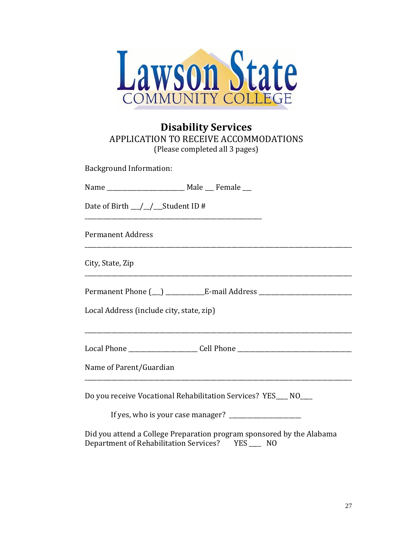

## **Disability Services** APPLICATION TO RECEIVE ACCOMMODATIONS (Please completed all 3 pages)

Background Information:

| Name | Male | Female |
|------|------|--------|
|------|------|--------|

\_\_\_\_\_\_\_\_\_\_\_\_\_\_\_\_\_\_\_\_\_\_\_\_\_\_\_\_\_\_\_\_\_\_\_\_\_\_\_\_\_\_\_\_\_\_\_\_\_\_\_\_\_\_\_\_\_\_\_

Date of Birth \_\_/\_/\_\_Student ID #

Permanent Address

City, State, Zip

Permanent Phone (\_\_) \_\_\_\_\_\_\_\_\_\_\_\_E-mail Address \_\_\_\_\_\_\_\_\_\_\_\_\_\_\_\_\_\_\_\_\_\_\_\_\_\_\_\_\_\_\_\_

 $\mathcal{L}_\text{max} = \mathcal{L}_\text{max} = \mathcal{L}_\text{max} = \mathcal{L}_\text{max} = \mathcal{L}_\text{max} = \mathcal{L}_\text{max} = \mathcal{L}_\text{max} = \mathcal{L}_\text{max} = \mathcal{L}_\text{max} = \mathcal{L}_\text{max} = \mathcal{L}_\text{max} = \mathcal{L}_\text{max} = \mathcal{L}_\text{max} = \mathcal{L}_\text{max} = \mathcal{L}_\text{max} = \mathcal{L}_\text{max} = \mathcal{L}_\text{max} = \mathcal{L}_\text{max} = \mathcal{$ 

\_\_\_\_\_\_\_\_\_\_\_\_\_\_\_\_\_\_\_\_\_\_\_\_\_\_\_\_\_\_\_\_\_\_\_\_\_\_\_\_\_\_\_\_\_\_\_\_\_\_\_\_\_\_\_\_\_\_\_\_\_\_\_\_\_\_\_\_\_\_\_\_\_\_\_\_\_\_\_\_\_\_\_\_\_\_\_\_\_

Local Address (include city, state, zip)

Local Phone \_\_\_\_\_\_\_\_\_\_\_\_\_\_\_\_\_\_\_\_\_\_\_ Cell Phone \_\_\_\_\_\_\_\_\_\_\_\_\_\_\_\_\_\_\_\_\_\_\_\_\_\_\_\_\_\_\_\_\_\_\_\_\_\_

Name of Parent/Guardian

Do you receive Vocational Rehabilitation Services? YES\_\_\_ NO\_\_\_

If yes, who is your case manager?  $\frac{1}{2}$ 

\_\_\_\_\_\_\_\_\_\_\_\_\_\_\_\_\_\_\_\_\_\_\_\_\_\_\_\_\_\_\_\_\_\_\_\_\_\_\_\_\_\_\_\_\_\_\_\_\_\_\_\_\_\_\_\_\_\_\_\_\_\_\_\_\_\_\_\_\_\_\_\_\_\_\_\_\_\_\_\_\_\_\_\_\_\_\_\_\_

Did you attend a College Preparation program sponsored by the Alabama Department of Rehabilitation Services? YES \_\_\_\_ NO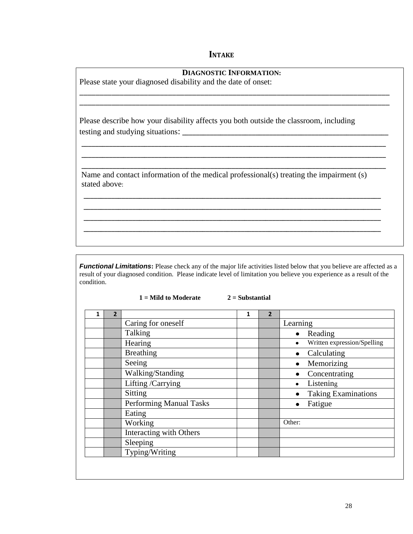## **INTAKE**

| <b>DIAGNOSTIC INFORMATION:</b><br>Please state your diagnosed disability and the date of onset:                           |  |
|---------------------------------------------------------------------------------------------------------------------------|--|
|                                                                                                                           |  |
| Please describe how your disability affects you both outside the classroom, including<br>testing and studying situations: |  |
|                                                                                                                           |  |
| Name and contact information of the medical professional(s) treating the impairment (s)<br>stated above:                  |  |

*Functional Limitations:* Please check any of the major life activities listed below that you believe are affected as a result of your diagnosed condition. Please indicate level of limitation you believe you experience as a result of the condition.

 **1 = Mild to Moderate 2 = Substantial**

 \_\_\_\_\_\_\_\_\_\_\_\_\_\_\_\_\_\_\_\_\_\_\_\_\_\_\_\_\_\_\_\_\_\_\_\_\_\_\_\_\_\_\_\_\_\_\_\_\_\_\_\_\_\_\_\_\_\_\_\_\_\_\_\_\_\_\_\_\_\_\_\_\_\_\_\_\_\_\_\_\_\_\_\_\_ \_\_\_\_\_\_\_\_\_\_\_\_\_\_\_\_\_\_\_\_\_\_\_\_\_\_\_\_\_\_\_\_\_\_\_\_\_\_\_\_\_\_\_\_\_\_\_\_\_\_\_\_\_\_\_\_\_\_\_\_\_\_\_\_\_\_\_\_\_\_\_\_\_\_\_\_\_\_\_\_\_\_\_\_\_ \_\_\_\_\_\_\_\_\_\_\_\_\_\_\_\_\_\_\_\_\_\_\_\_\_\_\_\_\_\_\_\_\_\_\_\_\_\_\_\_\_\_\_\_\_\_\_\_\_\_\_\_\_\_\_\_\_\_\_\_\_\_\_\_\_\_\_\_\_\_\_\_\_\_\_\_\_\_\_\_\_\_\_\_\_ \_\_\_\_\_\_\_\_\_\_\_\_\_\_\_\_\_\_\_\_\_\_\_\_\_\_\_\_\_\_\_\_\_\_\_\_\_\_\_\_\_\_\_\_\_\_\_\_\_\_\_\_\_\_\_\_\_\_\_\_\_\_\_\_\_\_\_\_\_\_\_\_\_\_\_\_\_\_\_\_\_\_\_\_\_

| $\overline{2}$ |                         | 1 | $\overline{2}$ |                                          |
|----------------|-------------------------|---|----------------|------------------------------------------|
|                | Caring for oneself      |   |                | Learning                                 |
|                | Talking                 |   |                | $\bullet$ Reading                        |
|                | Hearing                 |   |                | Written expression/Spelling<br>$\bullet$ |
|                | <b>Breathing</b>        |   |                | Calculating                              |
|                | Seeing                  |   |                | Memorizing                               |
|                | Walking/Standing        |   |                | Concentrating                            |
|                | Lifting /Carrying       |   |                | Listening<br>$\bullet$                   |
|                | Sitting                 |   |                | <b>Taking Examinations</b>               |
|                | Performing Manual Tasks |   |                | Fatigue<br>$\bullet$                     |
|                | Eating                  |   |                |                                          |
|                | Working                 |   |                | Other:                                   |
|                | Interacting with Others |   |                |                                          |
|                | Sleeping                |   |                |                                          |
|                | Typing/Writing          |   |                |                                          |